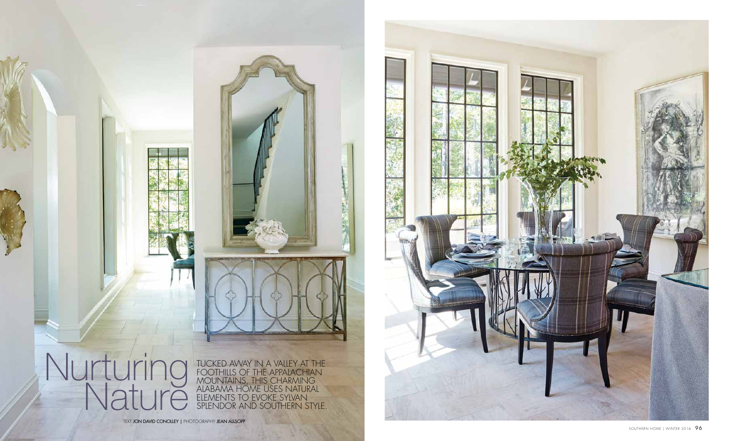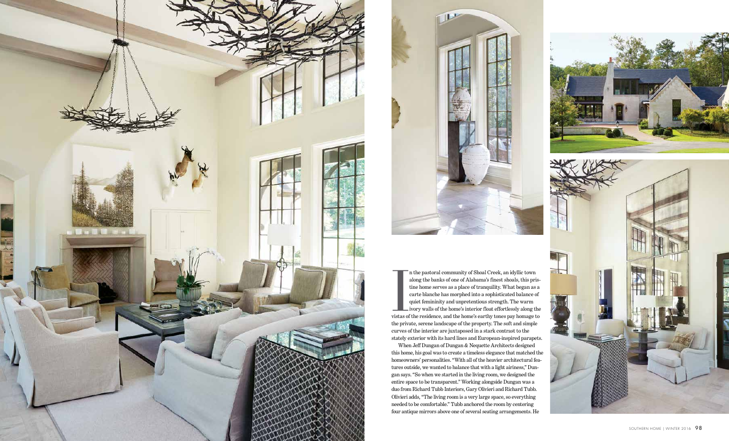



I is the pastoral community of Shoal Creek, an idyllic town<br>along the banks of one of Alabama's finest shoals, this pris-<br>tine home serves as a place of tranquility. What began as a<br>carte blanche has morphed into a sophist n the pastoral community of Shoal Creek, an idyllic town along the banks of one of Alabama's finest shoals, this pris tine home serves as a place of tranquility. What began as a carte blanche has morphed into a sophisticated balance of quiet femininity and unpretentious strength. The warm ivory walls of the home's interior float effortlessly along the the private, serene landscape of the property. The soft and simple curves of the interior are juxtaposed in a stark contrast to the stately exterior with its hard lines and European-inspired parapets. When Jeff Dungan of Dungan & Nequette Architects designed this home, his goal was to create a timeless elegance that matched the homeowners' personalities. "With all of the heavier architectural fea tures outside, we wanted to balance that with a light airiness," Dun gan says. "So when we started in the living room, we designed the entire space to be transparent." Working alongside Dungan was a duo from Richard Tubb Interiors, Gary Olivieri and Richard Tubb. Olivieri adds, "The living room is a very large space, so everything needed to be comfortable." Tubb anchored the room by centering four antique mirrors above one of several seating arrangements. He



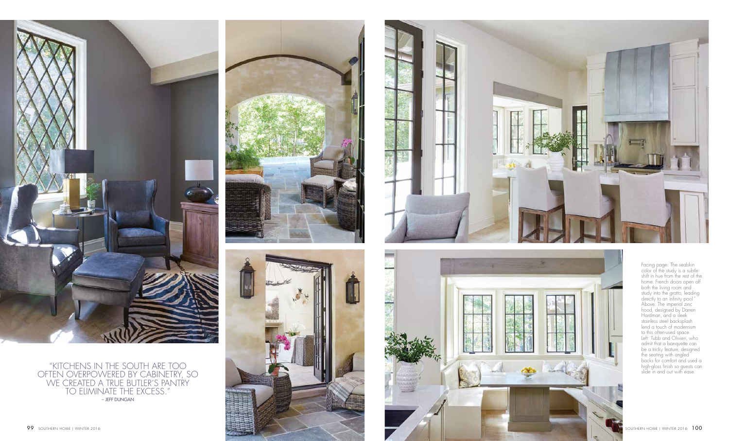

Facing page: The sealskin color of the study is a subtle shift in hue from the rest of the home. French doors open off both the living room and study into the grotto, leading directly to an infinity pool." Above: The imperial zinc hood, designed by Darren Hardman, and a sleek stainless steel backsplash lend a touch of modernism to this often-used space. Left: Tubb and Olivieri, who admit that a banquette can be a tricky feature, designed the seating with angled backs for comfort and used a high-gloss finish so guests can slide in and out with ease.